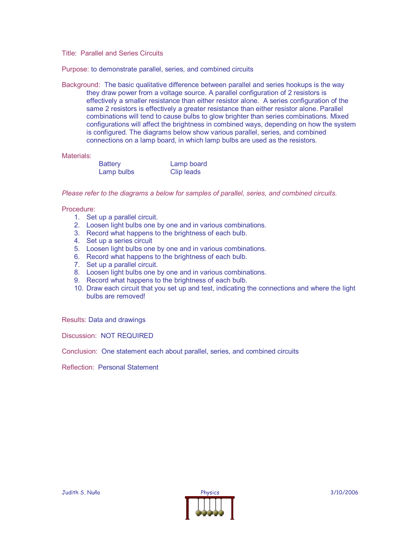Title: Parallel and Series Circuits

Purpose: to demonstrate parallel, series, and combined circuits

Background: The basic qualitative difference between parallel and series hookups is the way they draw power from a voltage source. A parallel configuration of 2 resistors is effectively a smaller resistance than either resistor alone. A series configuration of the same 2 resistors is effectively a greater resistance than either resistor alone. Parallel combinations will tend to cause bulbs to glow brighter than series combinations. Mixed configurations will affect the brightness in combined ways, depending on how the system is configured. The diagrams below show various parallel, series, and combined connections on a lamp board, in which lamp bulbs are used as the resistors.

Materials:

| <b>Battery</b> | Lamp board |
|----------------|------------|
| Lamp bulbs     | Clip leads |

*Please refer to the diagrams a below for samples of parallel, series, and combined circuits.*

Procedure:

- 1. Set up a parallel circuit.
- 2. Loosen light bulbs one by one and in various combinations.
- 3. Record what happens to the brightness of each bulb.
- 4. Set up a series circuit
- 5. Loosen light bulbs one by one and in various combinations.
- 6. Record what happens to the brightness of each bulb.
- 7. Set up a parallel circuit.
- 8. Loosen light bulbs one by one and in various combinations.
- 9. Record what happens to the brightness of each bulb.
- 10. Draw each circuit that you set up and test, indicating the connections and where the light bulbs are removed!

Results: Data and drawings

Discussion: NOT REQUIRED

Conclusion: One statement each about parallel, series, and combined circuits

Reflection: Personal Statement